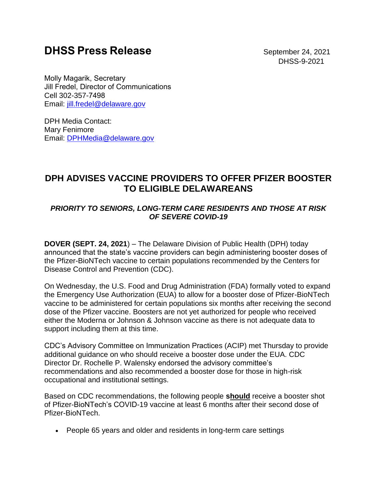## **DHSS Press Release b** September 24, 2021

DHSS-9-2021

Molly Magarik, Secretary   Jill Fredel, Director of Communications   Cell 302-357-7498    Email: [jill.fredel@delaware.gov](mailto:jill.fredel@delaware.gov)

DPH Media Contact: Mary Fenimore Email: [DPHMedia@delaware.gov](mailto:DPHMedia@delaware.gov)

## **DPH ADVISES VACCINE PROVIDERS TO OFFER PFIZER BOOSTER TO ELIGIBLE DELAWAREANS**

## *PRIORITY TO SENIORS, LONG-TERM CARE RESIDENTS AND THOSE AT RISK OF SEVERE COVID-19*

**DOVER (SEPT. 24, 2021**) – The Delaware Division of Public Health (DPH) today announced that the state's vaccine providers can begin administering booster doses of the Pfizer-BioNTech vaccine to certain populations recommended by the Centers for Disease Control and Prevention (CDC).

On Wednesday, the U.S. Food and Drug Administration (FDA) formally voted to expand the Emergency Use Authorization (EUA) to allow for a booster dose of Pfizer-BioNTech vaccine to be administered for certain populations six months after receiving the second dose of the Pfizer vaccine. Boosters are not yet authorized for people who received either the Moderna or Johnson & Johnson vaccine as there is not adequate data to support including them at this time.

CDC's Advisory Committee on Immunization Practices (ACIP) met Thursday to provide additional guidance on who should receive a booster dose under the EUA. CDC Director Dr. Rochelle P. Walensky endorsed the advisory committee's recommendations and also recommended a booster dose for those in high-risk occupational and institutional settings.

Based on CDC recommendations, the following people **should** receive a booster shot of Pfizer-BioNTech's COVID-19 vaccine at least 6 months after their second dose of Pfizer-BioNTech.

• People 65 years and older and residents in long-term care settings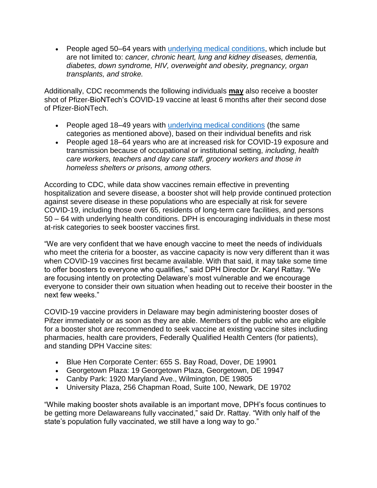• People aged 50–64 years with [underlying medical conditions,](https://gcc02.safelinks.protection.outlook.com/?url=https%3A%2F%2Fwww.cdc.gov%2Fcoronavirus%2F2019-ncov%2Fneed-extra-precautions%2Fpeople-with-medical-conditions.html&data=04%7C01%7CAndrea.Wojcik%40delaware.gov%7C35e38dc041f94981495908d97f805823%7C8c09e56951c54deeabb28b99c32a4396%7C0%7C0%7C637681011481465691%7CUnknown%7CTWFpbGZsb3d8eyJWIjoiMC4wLjAwMDAiLCJQIjoiV2luMzIiLCJBTiI6Ik1haWwiLCJXVCI6Mn0%3D%7C1000&sdata=UJLVIfqhbunVO1A0axvLerDyJLuY63vis6%2FzKd7NLNg%3D&reserved=0) which include but are not limited to: *cancer, chronic heart, lung and kidney diseases, dementia, diabetes, down syndrome, HIV, overweight and obesity, pregnancy, organ transplants, and stroke.*

Additionally, CDC recommends the following individuals **may** also receive a booster shot of Pfizer-BioNTech's COVID-19 vaccine at least 6 months after their second dose of Pfizer-BioNTech.

- People aged 18–49 years with [underlying medical conditions](https://gcc02.safelinks.protection.outlook.com/?url=https%3A%2F%2Fwww.cdc.gov%2Fcoronavirus%2F2019-ncov%2Fneed-extra-precautions%2Fpeople-with-medical-conditions.html&data=04%7C01%7CAndrea.Wojcik%40delaware.gov%7C35e38dc041f94981495908d97f805823%7C8c09e56951c54deeabb28b99c32a4396%7C0%7C0%7C637681011481465691%7CUnknown%7CTWFpbGZsb3d8eyJWIjoiMC4wLjAwMDAiLCJQIjoiV2luMzIiLCJBTiI6Ik1haWwiLCJXVCI6Mn0%3D%7C1000&sdata=UJLVIfqhbunVO1A0axvLerDyJLuY63vis6%2FzKd7NLNg%3D&reserved=0) (the same categories as mentioned above), based on their individual benefits and risk
- People aged 18–64 years who are at increased risk for COVID-19 exposure and transmission because of occupational or institutional setting, *including, health care workers, teachers and day care staff, grocery workers and those in homeless shelters or prisons, among others.*

According to CDC, while data show vaccines remain effective in preventing hospitalization and severe disease, a booster shot will help provide continued protection against severe disease in these populations who are especially at risk for severe COVID-19, including those over 65, residents of long-term care facilities, and persons 50 – 64 with underlying health conditions. DPH is encouraging individuals in these most at-risk categories to seek booster vaccines first.

"We are very confident that we have enough vaccine to meet the needs of individuals who meet the criteria for a booster, as vaccine capacity is now very different than it was when COVID-19 vaccines first became available. With that said, it may take some time to offer boosters to everyone who qualifies," said DPH Director Dr. Karyl Rattay. "We are focusing intently on protecting Delaware's most vulnerable and we encourage everyone to consider their own situation when heading out to receive their booster in the next few weeks."

COVID-19 vaccine providers in Delaware may begin administering booster doses of Pifzer immediately or as soon as they are able. Members of the public who are eligible for a booster shot are recommended to seek vaccine at existing vaccine sites including pharmacies, health care providers, Federally Qualified Health Centers (for patients), and standing DPH Vaccine sites:

- Blue Hen Corporate Center: 655 S. Bay Road, Dover, DE 19901
- Georgetown Plaza: 19 Georgetown Plaza, Georgetown, DE 19947
- Canby Park: 1920 Maryland Ave., Wilmington, DE 19805
- University Plaza, 256 Chapman Road, Suite 100, Newark, DE 19702

"While making booster shots available is an important move, DPH's focus continues to be getting more Delawareans fully vaccinated," said Dr. Rattay. "With only half of the state's population fully vaccinated, we still have a long way to go."